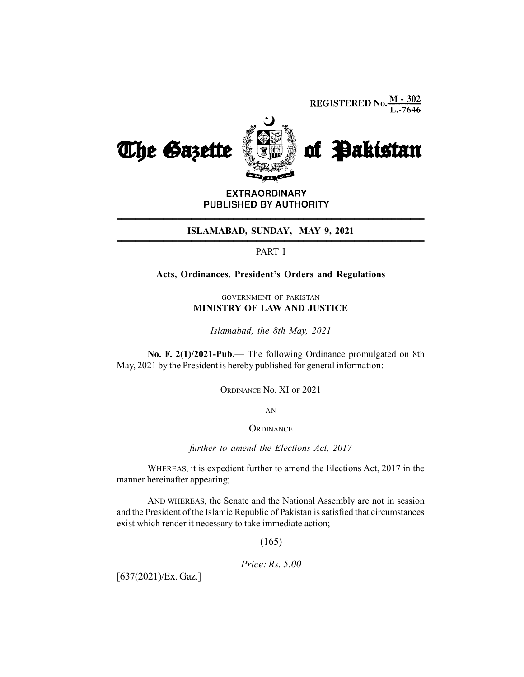**REGISTERED No.**  $\frac{M - 302}{L - 7646}$ 



**EXTRAORDINARY** PUBLISHED BY AUTHORITY \_\_\_\_\_\_\_\_\_\_\_\_\_\_\_\_\_\_\_\_\_\_\_\_\_\_\_\_\_\_\_\_\_\_\_\_\_\_\_\_\_\_\_\_\_\_\_\_\_\_\_\_\_\_\_\_\_\_\_\_\_\_\_\_\_\_ \_\_\_\_\_\_\_\_\_\_\_\_\_\_\_\_\_\_\_\_\_\_\_\_\_\_\_\_\_\_\_\_\_\_\_\_\_\_\_\_\_\_\_\_\_\_\_\_\_\_\_\_\_\_\_\_\_\_\_\_\_\_\_\_\_\_

## **ISLAMABAD, SUNDAY, MAY 9, 2021**

## PART I

## Acts, Ordinances, President's Orders and Regulations

GOVERNMENT OF PAKISTAN MINISTRY OF LAW AND JUSTICE

Islamabad, the 8th May, 2021

No. F. 2(1)/2021-Pub.— The following Ordinance promulgated on 8th May, 2021 by the President is hereby published for general information:—

ORDINANCE No. XI OF 2021

AN

**ORDINANCE** 

further to amend the Elections Act, 2017

WHEREAS, it is expedient further to amend the Elections Act, 2017 in the manner hereinafter appearing;

AND WHEREAS, the Senate and the National Assembly are not in session and the President of the Islamic Republic of Pakistan is satisfied that circumstances exist which render it necessary to take immediate action;

(165)

Price: Rs. 5.00

[637(2021)/Ex. Gaz.]